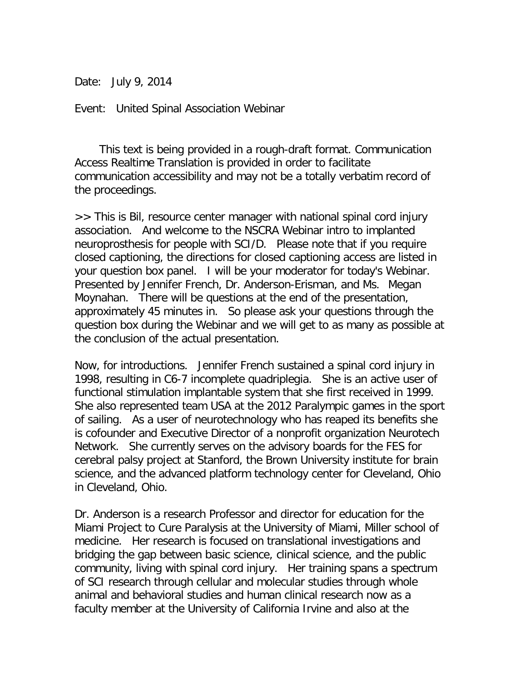Date: July 9, 2014

Event: United Spinal Association Webinar

 This text is being provided in a rough-draft format. Communication Access Realtime Translation is provided in order to facilitate communication accessibility and may not be a totally verbatim record of the proceedings.

>> This is Bil, resource center manager with national spinal cord injury association. And welcome to the NSCRA Webinar intro to implanted neuroprosthesis for people with SCI/D. Please note that if you require closed captioning, the directions for closed captioning access are listed in your question box panel. I will be your moderator for today's Webinar. Presented by Jennifer French, Dr. Anderson-Erisman, and Ms. Megan Moynahan. There will be questions at the end of the presentation, approximately 45 minutes in. So please ask your questions through the question box during the Webinar and we will get to as many as possible at the conclusion of the actual presentation.

Now, for introductions. Jennifer French sustained a spinal cord injury in 1998, resulting in C6-7 incomplete quadriplegia. She is an active user of functional stimulation implantable system that she first received in 1999. She also represented team USA at the 2012 Paralympic games in the sport of sailing. As a user of neurotechnology who has reaped its benefits she is cofounder and Executive Director of a nonprofit organization Neurotech Network. She currently serves on the advisory boards for the FES for cerebral palsy project at Stanford, the Brown University institute for brain science, and the advanced platform technology center for Cleveland, Ohio in Cleveland, Ohio.

Dr. Anderson is a research Professor and director for education for the Miami Project to Cure Paralysis at the University of Miami, Miller school of medicine. Her research is focused on translational investigations and bridging the gap between basic science, clinical science, and the public community, living with spinal cord injury. Her training spans a spectrum of SCI research through cellular and molecular studies through whole animal and behavioral studies and human clinical research now as a faculty member at the University of California Irvine and also at the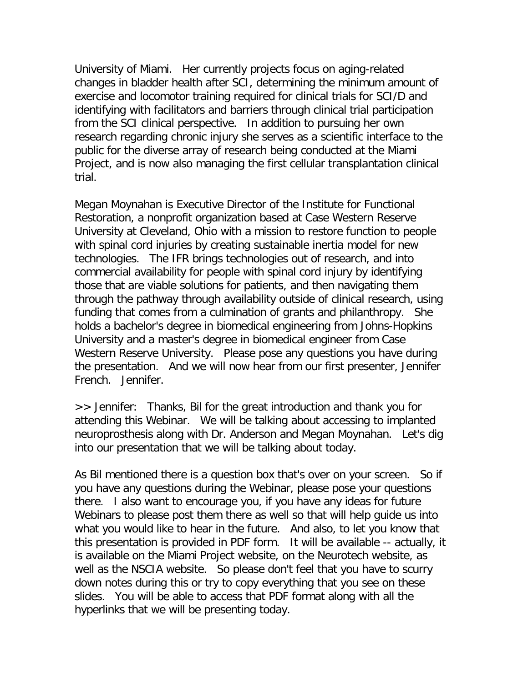University of Miami. Her currently projects focus on aging-related changes in bladder health after SCI, determining the minimum amount of exercise and locomotor training required for clinical trials for SCI/D and identifying with facilitators and barriers through clinical trial participation from the SCI clinical perspective. In addition to pursuing her own research regarding chronic injury she serves as a scientific interface to the public for the diverse array of research being conducted at the Miami Project, and is now also managing the first cellular transplantation clinical trial.

Megan Moynahan is Executive Director of the Institute for Functional Restoration, a nonprofit organization based at Case Western Reserve University at Cleveland, Ohio with a mission to restore function to people with spinal cord injuries by creating sustainable inertia model for new technologies. The IFR brings technologies out of research, and into commercial availability for people with spinal cord injury by identifying those that are viable solutions for patients, and then navigating them through the pathway through availability outside of clinical research, using funding that comes from a culmination of grants and philanthropy. She holds a bachelor's degree in biomedical engineering from Johns-Hopkins University and a master's degree in biomedical engineer from Case Western Reserve University. Please pose any questions you have during the presentation. And we will now hear from our first presenter, Jennifer French. Jennifer.

>> Jennifer: Thanks, Bil for the great introduction and thank you for attending this Webinar. We will be talking about accessing to implanted neuroprosthesis along with Dr. Anderson and Megan Moynahan. Let's dig into our presentation that we will be talking about today.

As Bil mentioned there is a question box that's over on your screen. So if you have any questions during the Webinar, please pose your questions there. I also want to encourage you, if you have any ideas for future Webinars to please post them there as well so that will help guide us into what you would like to hear in the future. And also, to let you know that this presentation is provided in PDF form. It will be available -- actually, it is available on the Miami Project website, on the Neurotech website, as well as the NSCIA website. So please don't feel that you have to scurry down notes during this or try to copy everything that you see on these slides. You will be able to access that PDF format along with all the hyperlinks that we will be presenting today.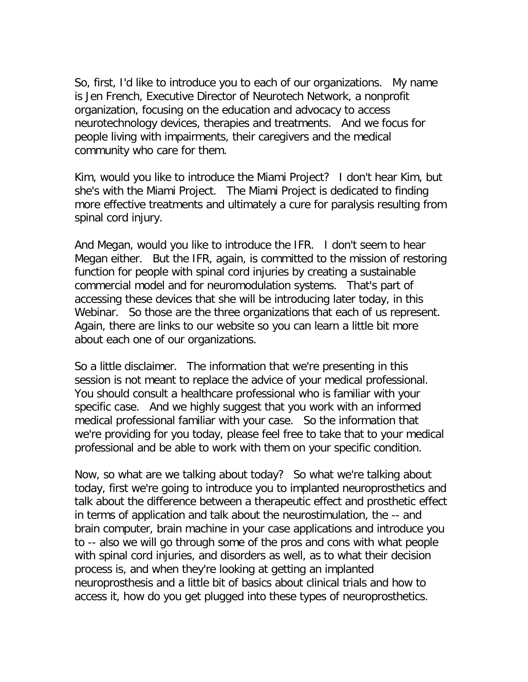So, first, I'd like to introduce you to each of our organizations. My name is Jen French, Executive Director of Neurotech Network, a nonprofit organization, focusing on the education and advocacy to access neurotechnology devices, therapies and treatments. And we focus for people living with impairments, their caregivers and the medical community who care for them.

Kim, would you like to introduce the Miami Project? I don't hear Kim, but she's with the Miami Project. The Miami Project is dedicated to finding more effective treatments and ultimately a cure for paralysis resulting from spinal cord injury.

And Megan, would you like to introduce the IFR. I don't seem to hear Megan either. But the IFR, again, is committed to the mission of restoring function for people with spinal cord injuries by creating a sustainable commercial model and for neuromodulation systems. That's part of accessing these devices that she will be introducing later today, in this Webinar. So those are the three organizations that each of us represent. Again, there are links to our website so you can learn a little bit more about each one of our organizations.

So a little disclaimer. The information that we're presenting in this session is not meant to replace the advice of your medical professional. You should consult a healthcare professional who is familiar with your specific case. And we highly suggest that you work with an informed medical professional familiar with your case. So the information that we're providing for you today, please feel free to take that to your medical professional and be able to work with them on your specific condition.

Now, so what are we talking about today? So what we're talking about today, first we're going to introduce you to implanted neuroprosthetics and talk about the difference between a therapeutic effect and prosthetic effect in terms of application and talk about the neurostimulation, the -- and brain computer, brain machine in your case applications and introduce you to -- also we will go through some of the pros and cons with what people with spinal cord injuries, and disorders as well, as to what their decision process is, and when they're looking at getting an implanted neuroprosthesis and a little bit of basics about clinical trials and how to access it, how do you get plugged into these types of neuroprosthetics.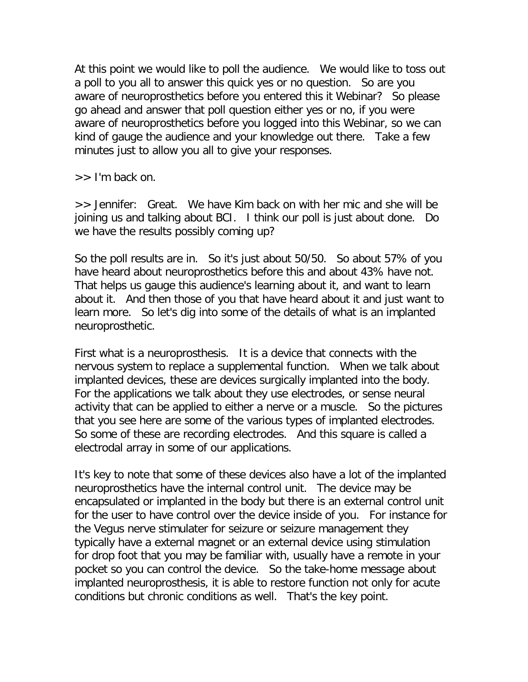At this point we would like to poll the audience. We would like to toss out a poll to you all to answer this quick yes or no question. So are you aware of neuroprosthetics before you entered this it Webinar? So please go ahead and answer that poll question either yes or no, if you were aware of neuroprosthetics before you logged into this Webinar, so we can kind of gauge the audience and your knowledge out there. Take a few minutes just to allow you all to give your responses.

>> I'm back on.

>> Jennifer: Great. We have Kim back on with her mic and she will be joining us and talking about BCI. I think our poll is just about done. Do we have the results possibly coming up?

So the poll results are in. So it's just about 50/50. So about 57% of you have heard about neuroprosthetics before this and about 43% have not. That helps us gauge this audience's learning about it, and want to learn about it. And then those of you that have heard about it and just want to learn more. So let's dig into some of the details of what is an implanted neuroprosthetic.

First what is a neuroprosthesis. It is a device that connects with the nervous system to replace a supplemental function. When we talk about implanted devices, these are devices surgically implanted into the body. For the applications we talk about they use electrodes, or sense neural activity that can be applied to either a nerve or a muscle. So the pictures that you see here are some of the various types of implanted electrodes. So some of these are recording electrodes. And this square is called a electrodal array in some of our applications.

It's key to note that some of these devices also have a lot of the implanted neuroprosthetics have the internal control unit. The device may be encapsulated or implanted in the body but there is an external control unit for the user to have control over the device inside of you. For instance for the Vegus nerve stimulater for seizure or seizure management they typically have a external magnet or an external device using stimulation for drop foot that you may be familiar with, usually have a remote in your pocket so you can control the device. So the take-home message about implanted neuroprosthesis, it is able to restore function not only for acute conditions but chronic conditions as well. That's the key point.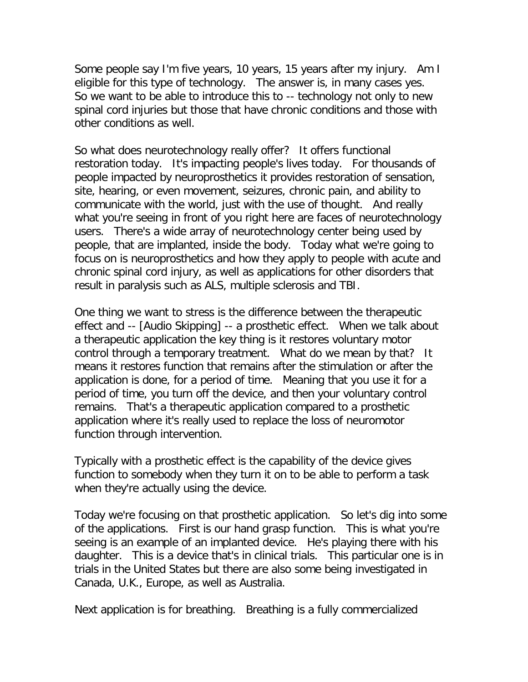Some people say I'm five years, 10 years, 15 years after my injury. Am I eligible for this type of technology. The answer is, in many cases yes. So we want to be able to introduce this to -- technology not only to new spinal cord injuries but those that have chronic conditions and those with other conditions as well.

So what does neurotechnology really offer? It offers functional restoration today. It's impacting people's lives today. For thousands of people impacted by neuroprosthetics it provides restoration of sensation, site, hearing, or even movement, seizures, chronic pain, and ability to communicate with the world, just with the use of thought. And really what you're seeing in front of you right here are faces of neurotechnology users. There's a wide array of neurotechnology center being used by people, that are implanted, inside the body. Today what we're going to focus on is neuroprosthetics and how they apply to people with acute and chronic spinal cord injury, as well as applications for other disorders that result in paralysis such as ALS, multiple sclerosis and TBI.

One thing we want to stress is the difference between the therapeutic effect and -- [Audio Skipping] -- a prosthetic effect. When we talk about a therapeutic application the key thing is it restores voluntary motor control through a temporary treatment. What do we mean by that? It means it restores function that remains after the stimulation or after the application is done, for a period of time. Meaning that you use it for a period of time, you turn off the device, and then your voluntary control remains. That's a therapeutic application compared to a prosthetic application where it's really used to replace the loss of neuromotor function through intervention.

Typically with a prosthetic effect is the capability of the device gives function to somebody when they turn it on to be able to perform a task when they're actually using the device.

Today we're focusing on that prosthetic application. So let's dig into some of the applications. First is our hand grasp function. This is what you're seeing is an example of an implanted device. He's playing there with his daughter. This is a device that's in clinical trials. This particular one is in trials in the United States but there are also some being investigated in Canada, U.K., Europe, as well as Australia.

Next application is for breathing. Breathing is a fully commercialized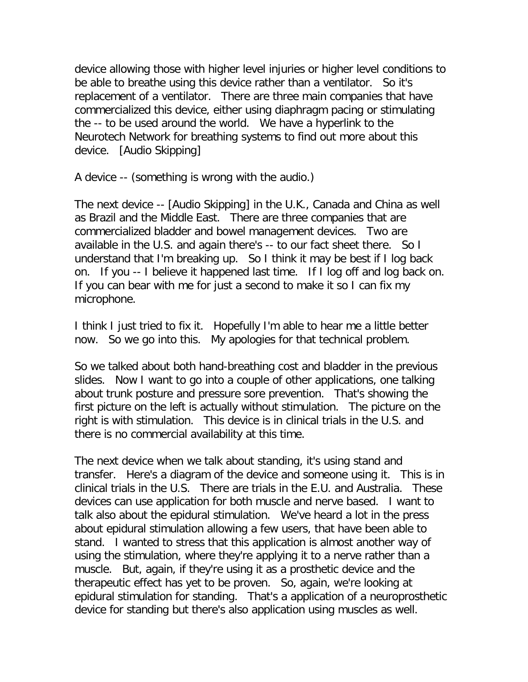device allowing those with higher level injuries or higher level conditions to be able to breathe using this device rather than a ventilator. So it's replacement of a ventilator. There are three main companies that have commercialized this device, either using diaphragm pacing or stimulating the -- to be used around the world. We have a hyperlink to the Neurotech Network for breathing systems to find out more about this device. [Audio Skipping]

A device -- (something is wrong with the audio.)

The next device -- [Audio Skipping] in the U.K., Canada and China as well as Brazil and the Middle East. There are three companies that are commercialized bladder and bowel management devices. Two are available in the U.S. and again there's -- to our fact sheet there. So I understand that I'm breaking up. So I think it may be best if I log back on. If you -- I believe it happened last time. If I log off and log back on. If you can bear with me for just a second to make it so I can fix my microphone.

I think I just tried to fix it. Hopefully I'm able to hear me a little better now. So we go into this. My apologies for that technical problem.

So we talked about both hand-breathing cost and bladder in the previous slides. Now I want to go into a couple of other applications, one talking about trunk posture and pressure sore prevention. That's showing the first picture on the left is actually without stimulation. The picture on the right is with stimulation. This device is in clinical trials in the U.S. and there is no commercial availability at this time.

The next device when we talk about standing, it's using stand and transfer. Here's a diagram of the device and someone using it. This is in clinical trials in the U.S. There are trials in the E.U. and Australia. These devices can use application for both muscle and nerve based. I want to talk also about the epidural stimulation. We've heard a lot in the press about epidural stimulation allowing a few users, that have been able to stand. I wanted to stress that this application is almost another way of using the stimulation, where they're applying it to a nerve rather than a muscle. But, again, if they're using it as a prosthetic device and the therapeutic effect has yet to be proven. So, again, we're looking at epidural stimulation for standing. That's a application of a neuroprosthetic device for standing but there's also application using muscles as well.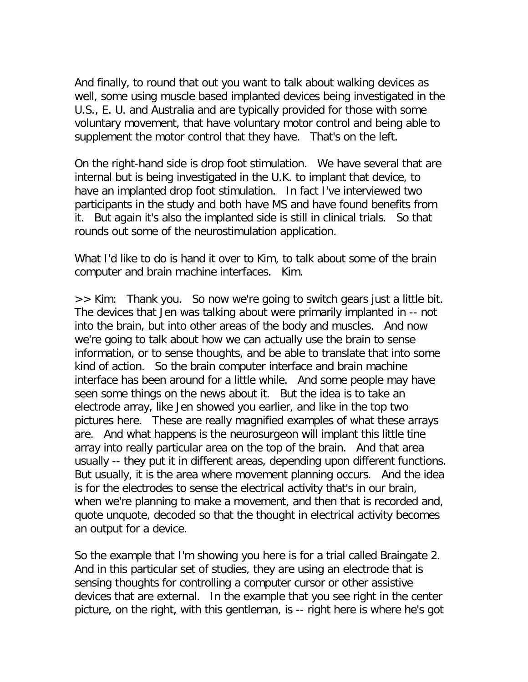And finally, to round that out you want to talk about walking devices as well, some using muscle based implanted devices being investigated in the U.S., E. U. and Australia and are typically provided for those with some voluntary movement, that have voluntary motor control and being able to supplement the motor control that they have. That's on the left.

On the right-hand side is drop foot stimulation. We have several that are internal but is being investigated in the U.K. to implant that device, to have an implanted drop foot stimulation. In fact I've interviewed two participants in the study and both have MS and have found benefits from it. But again it's also the implanted side is still in clinical trials. So that rounds out some of the neurostimulation application.

What I'd like to do is hand it over to Kim, to talk about some of the brain computer and brain machine interfaces. Kim.

>> Kim: Thank you. So now we're going to switch gears just a little bit. The devices that Jen was talking about were primarily implanted in -- not into the brain, but into other areas of the body and muscles. And now we're going to talk about how we can actually use the brain to sense information, or to sense thoughts, and be able to translate that into some kind of action. So the brain computer interface and brain machine interface has been around for a little while. And some people may have seen some things on the news about it. But the idea is to take an electrode array, like Jen showed you earlier, and like in the top two pictures here. These are really magnified examples of what these arrays are. And what happens is the neurosurgeon will implant this little tine array into really particular area on the top of the brain. And that area usually -- they put it in different areas, depending upon different functions. But usually, it is the area where movement planning occurs. And the idea is for the electrodes to sense the electrical activity that's in our brain, when we're planning to make a movement, and then that is recorded and, quote unquote, decoded so that the thought in electrical activity becomes an output for a device.

So the example that I'm showing you here is for a trial called Braingate 2. And in this particular set of studies, they are using an electrode that is sensing thoughts for controlling a computer cursor or other assistive devices that are external. In the example that you see right in the center picture, on the right, with this gentleman, is -- right here is where he's got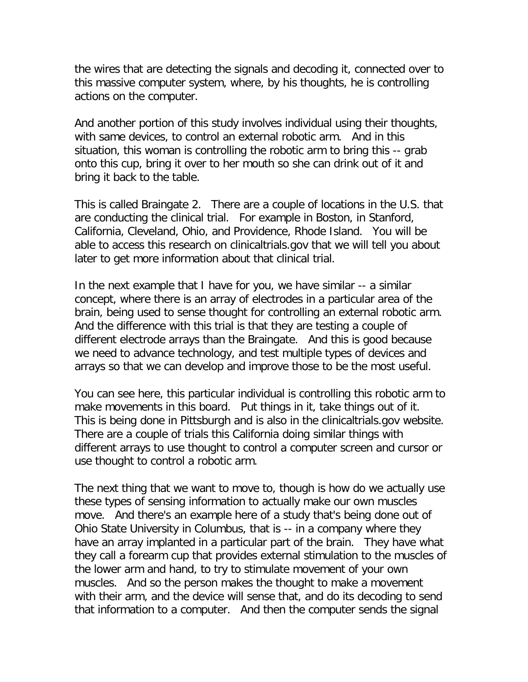the wires that are detecting the signals and decoding it, connected over to this massive computer system, where, by his thoughts, he is controlling actions on the computer.

And another portion of this study involves individual using their thoughts, with same devices, to control an external robotic arm. And in this situation, this woman is controlling the robotic arm to bring this -- grab onto this cup, bring it over to her mouth so she can drink out of it and bring it back to the table.

This is called Braingate 2. There are a couple of locations in the U.S. that are conducting the clinical trial. For example in Boston, in Stanford, California, Cleveland, Ohio, and Providence, Rhode Island. You will be able to access this research on clinicaltrials.gov that we will tell you about later to get more information about that clinical trial.

In the next example that I have for you, we have similar -- a similar concept, where there is an array of electrodes in a particular area of the brain, being used to sense thought for controlling an external robotic arm. And the difference with this trial is that they are testing a couple of different electrode arrays than the Braingate. And this is good because we need to advance technology, and test multiple types of devices and arrays so that we can develop and improve those to be the most useful.

You can see here, this particular individual is controlling this robotic arm to make movements in this board. Put things in it, take things out of it. This is being done in Pittsburgh and is also in the clinicaltrials.gov website. There are a couple of trials this California doing similar things with different arrays to use thought to control a computer screen and cursor or use thought to control a robotic arm.

The next thing that we want to move to, though is how do we actually use these types of sensing information to actually make our own muscles move. And there's an example here of a study that's being done out of Ohio State University in Columbus, that is -- in a company where they have an array implanted in a particular part of the brain. They have what they call a forearm cup that provides external stimulation to the muscles of the lower arm and hand, to try to stimulate movement of your own muscles. And so the person makes the thought to make a movement with their arm, and the device will sense that, and do its decoding to send that information to a computer. And then the computer sends the signal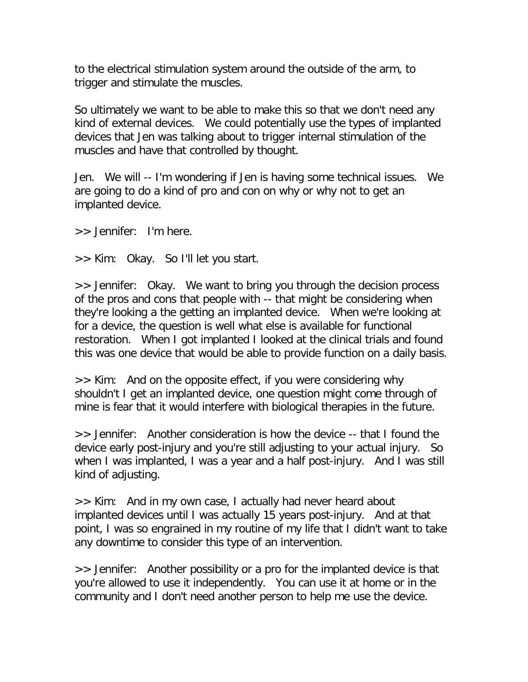to the electrical stimulation system around the outside of the arm, to trigger and stimulate the muscles.

So ultimately we want to be able to make this so that we don't need any kind of external devices. We could potentially use the types of implanted devices that Jen was talking about to trigger internal stimulation of the muscles and have that controlled by thought.

Jen. We will -- I'm wondering if Jen is having some technical issues. We are going to do a kind of pro and con on why or why not to get an implanted device.

>> Jennifer: I'm here.

>> Kim: Okay. So I'll let you start.

>> Jennifer: Okay. We want to bring you through the decision process of the pros and cons that people with -- that might be considering when they're looking a the getting an implanted device. When we're looking at for a device, the question is well what else is available for functional restoration. When I got implanted I looked at the clinical trials and found this was one device that would be able to provide function on a daily basis.

>> Kim: And on the opposite effect, if you were considering why shouldn't I get an implanted device, one question might come through of mine is fear that it would interfere with biological therapies in the future.

>> Jennifer: Another consideration is how the device -- that I found the device early post-injury and you're still adjusting to your actual injury. So when I was implanted, I was a year and a half post-injury. And I was still kind of adjusting.

>> Kim: And in my own case, I actually had never heard about implanted devices until I was actually 15 years post-injury. And at that point, I was so engrained in my routine of my life that I didn't want to take any downtime to consider this type of an intervention.

>> Jennifer: Another possibility or a pro for the implanted device is that you're allowed to use it independently. You can use it at home or in the community and I don't need another person to help me use the device.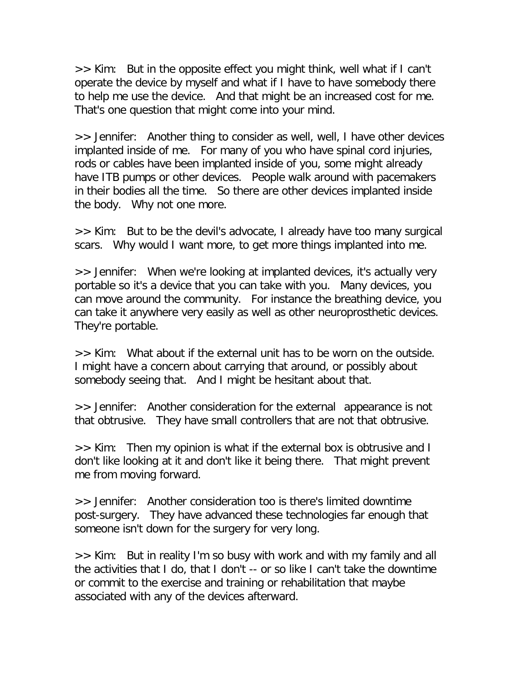>> Kim: But in the opposite effect you might think, well what if I can't operate the device by myself and what if I have to have somebody there to help me use the device. And that might be an increased cost for me. That's one question that might come into your mind.

>> Jennifer: Another thing to consider as well, well, I have other devices implanted inside of me. For many of you who have spinal cord injuries, rods or cables have been implanted inside of you, some might already have ITB pumps or other devices. People walk around with pacemakers in their bodies all the time. So there are other devices implanted inside the body. Why not one more.

>> Kim: But to be the devil's advocate, I already have too many surgical scars. Why would I want more, to get more things implanted into me.

>> Jennifer: When we're looking at implanted devices, it's actually very portable so it's a device that you can take with you. Many devices, you can move around the community. For instance the breathing device, you can take it anywhere very easily as well as other neuroprosthetic devices. They're portable.

>> Kim: What about if the external unit has to be worn on the outside. I might have a concern about carrying that around, or possibly about somebody seeing that. And I might be hesitant about that.

>> Jennifer: Another consideration for the external appearance is not that obtrusive. They have small controllers that are not that obtrusive.

>> Kim: Then my opinion is what if the external box is obtrusive and I don't like looking at it and don't like it being there. That might prevent me from moving forward.

>> Jennifer: Another consideration too is there's limited downtime post-surgery. They have advanced these technologies far enough that someone isn't down for the surgery for very long.

>> Kim: But in reality I'm so busy with work and with my family and all the activities that I do, that I don't -- or so like I can't take the downtime or commit to the exercise and training or rehabilitation that maybe associated with any of the devices afterward.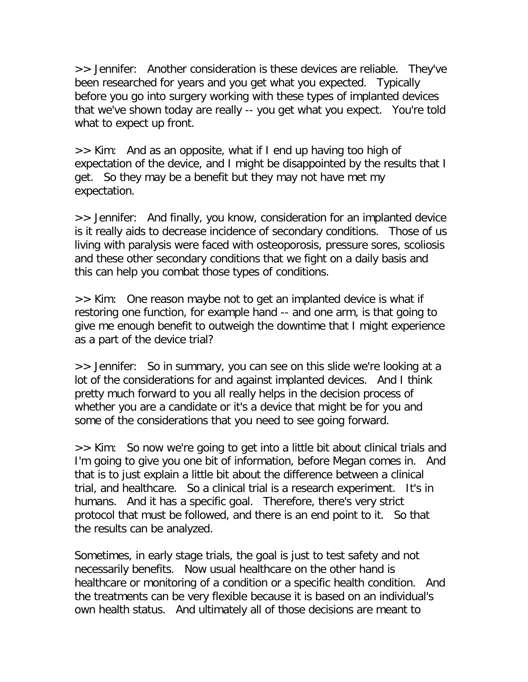>> Jennifer: Another consideration is these devices are reliable. They've been researched for years and you get what you expected. Typically before you go into surgery working with these types of implanted devices that we've shown today are really -- you get what you expect. You're told what to expect up front.

>> Kim: And as an opposite, what if I end up having too high of expectation of the device, and I might be disappointed by the results that I get. So they may be a benefit but they may not have met my expectation.

>> Jennifer: And finally, you know, consideration for an implanted device is it really aids to decrease incidence of secondary conditions. Those of us living with paralysis were faced with osteoporosis, pressure sores, scoliosis and these other secondary conditions that we fight on a daily basis and this can help you combat those types of conditions.

>> Kim: One reason maybe not to get an implanted device is what if restoring one function, for example hand -- and one arm, is that going to give me enough benefit to outweigh the downtime that I might experience as a part of the device trial?

>> Jennifer: So in summary, you can see on this slide we're looking at a lot of the considerations for and against implanted devices. And I think pretty much forward to you all really helps in the decision process of whether you are a candidate or it's a device that might be for you and some of the considerations that you need to see going forward.

>> Kim: So now we're going to get into a little bit about clinical trials and I'm going to give you one bit of information, before Megan comes in. And that is to just explain a little bit about the difference between a clinical trial, and healthcare. So a clinical trial is a research experiment. It's in humans. And it has a specific goal. Therefore, there's very strict protocol that must be followed, and there is an end point to it. So that the results can be analyzed.

Sometimes, in early stage trials, the goal is just to test safety and not necessarily benefits. Now usual healthcare on the other hand is healthcare or monitoring of a condition or a specific health condition. And the treatments can be very flexible because it is based on an individual's own health status. And ultimately all of those decisions are meant to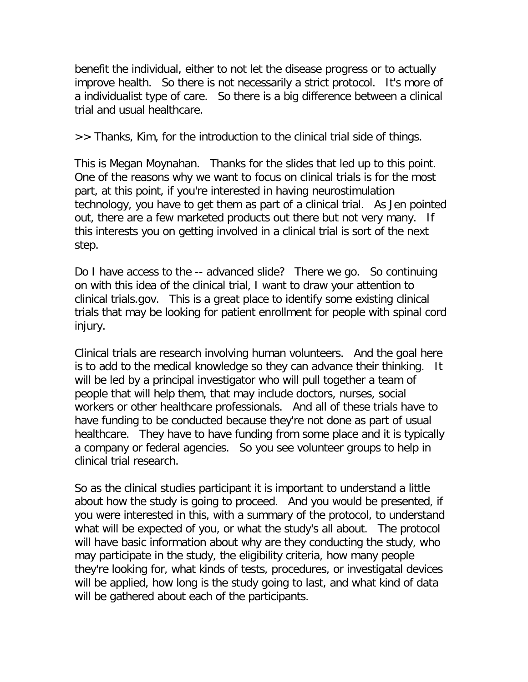benefit the individual, either to not let the disease progress or to actually improve health. So there is not necessarily a strict protocol. It's more of a individualist type of care. So there is a big difference between a clinical trial and usual healthcare.

>> Thanks, Kim, for the introduction to the clinical trial side of things.

This is Megan Moynahan. Thanks for the slides that led up to this point. One of the reasons why we want to focus on clinical trials is for the most part, at this point, if you're interested in having neurostimulation technology, you have to get them as part of a clinical trial. As Jen pointed out, there are a few marketed products out there but not very many. If this interests you on getting involved in a clinical trial is sort of the next step.

Do I have access to the -- advanced slide? There we go. So continuing on with this idea of the clinical trial, I want to draw your attention to clinical trials.gov. This is a great place to identify some existing clinical trials that may be looking for patient enrollment for people with spinal cord injury.

Clinical trials are research involving human volunteers. And the goal here is to add to the medical knowledge so they can advance their thinking. It will be led by a principal investigator who will pull together a team of people that will help them, that may include doctors, nurses, social workers or other healthcare professionals. And all of these trials have to have funding to be conducted because they're not done as part of usual healthcare. They have to have funding from some place and it is typically a company or federal agencies. So you see volunteer groups to help in clinical trial research.

So as the clinical studies participant it is important to understand a little about how the study is going to proceed. And you would be presented, if you were interested in this, with a summary of the protocol, to understand what will be expected of you, or what the study's all about. The protocol will have basic information about why are they conducting the study, who may participate in the study, the eligibility criteria, how many people they're looking for, what kinds of tests, procedures, or investigatal devices will be applied, how long is the study going to last, and what kind of data will be gathered about each of the participants.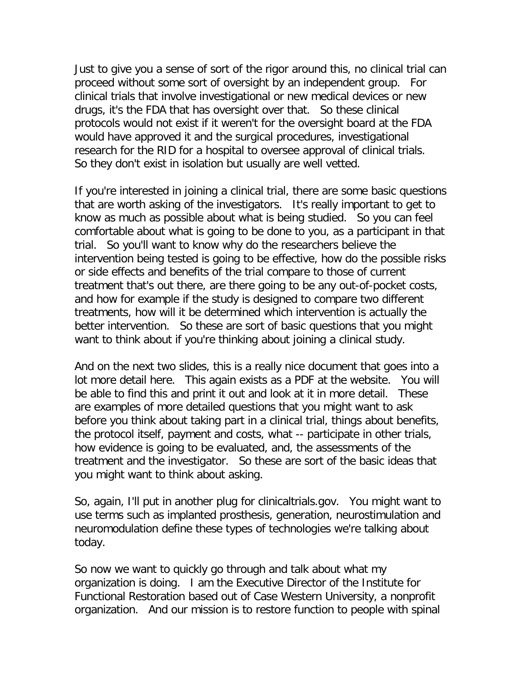Just to give you a sense of sort of the rigor around this, no clinical trial can proceed without some sort of oversight by an independent group. For clinical trials that involve investigational or new medical devices or new drugs, it's the FDA that has oversight over that. So these clinical protocols would not exist if it weren't for the oversight board at the FDA would have approved it and the surgical procedures, investigational research for the RID for a hospital to oversee approval of clinical trials. So they don't exist in isolation but usually are well vetted.

If you're interested in joining a clinical trial, there are some basic questions that are worth asking of the investigators. It's really important to get to know as much as possible about what is being studied. So you can feel comfortable about what is going to be done to you, as a participant in that trial. So you'll want to know why do the researchers believe the intervention being tested is going to be effective, how do the possible risks or side effects and benefits of the trial compare to those of current treatment that's out there, are there going to be any out-of-pocket costs, and how for example if the study is designed to compare two different treatments, how will it be determined which intervention is actually the better intervention. So these are sort of basic questions that you might want to think about if you're thinking about joining a clinical study.

And on the next two slides, this is a really nice document that goes into a lot more detail here. This again exists as a PDF at the website. You will be able to find this and print it out and look at it in more detail. These are examples of more detailed questions that you might want to ask before you think about taking part in a clinical trial, things about benefits, the protocol itself, payment and costs, what -- participate in other trials, how evidence is going to be evaluated, and, the assessments of the treatment and the investigator. So these are sort of the basic ideas that you might want to think about asking.

So, again, I'll put in another plug for clinicaltrials.gov. You might want to use terms such as implanted prosthesis, generation, neurostimulation and neuromodulation define these types of technologies we're talking about today.

So now we want to quickly go through and talk about what my organization is doing. I am the Executive Director of the Institute for Functional Restoration based out of Case Western University, a nonprofit organization. And our mission is to restore function to people with spinal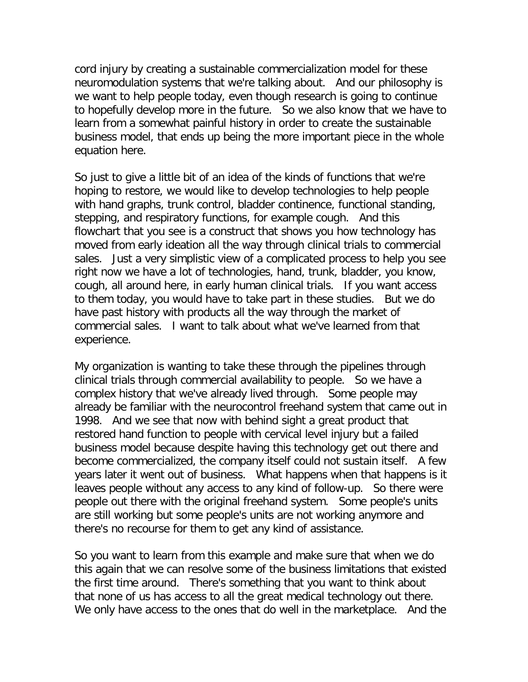cord injury by creating a sustainable commercialization model for these neuromodulation systems that we're talking about. And our philosophy is we want to help people today, even though research is going to continue to hopefully develop more in the future. So we also know that we have to learn from a somewhat painful history in order to create the sustainable business model, that ends up being the more important piece in the whole equation here.

So just to give a little bit of an idea of the kinds of functions that we're hoping to restore, we would like to develop technologies to help people with hand graphs, trunk control, bladder continence, functional standing, stepping, and respiratory functions, for example cough. And this flowchart that you see is a construct that shows you how technology has moved from early ideation all the way through clinical trials to commercial sales. Just a very simplistic view of a complicated process to help you see right now we have a lot of technologies, hand, trunk, bladder, you know, cough, all around here, in early human clinical trials. If you want access to them today, you would have to take part in these studies. But we do have past history with products all the way through the market of commercial sales. I want to talk about what we've learned from that experience.

My organization is wanting to take these through the pipelines through clinical trials through commercial availability to people. So we have a complex history that we've already lived through. Some people may already be familiar with the neurocontrol freehand system that came out in 1998. And we see that now with behind sight a great product that restored hand function to people with cervical level injury but a failed business model because despite having this technology get out there and become commercialized, the company itself could not sustain itself. A few years later it went out of business. What happens when that happens is it leaves people without any access to any kind of follow-up. So there were people out there with the original freehand system. Some people's units are still working but some people's units are not working anymore and there's no recourse for them to get any kind of assistance.

So you want to learn from this example and make sure that when we do this again that we can resolve some of the business limitations that existed the first time around. There's something that you want to think about that none of us has access to all the great medical technology out there. We only have access to the ones that do well in the marketplace. And the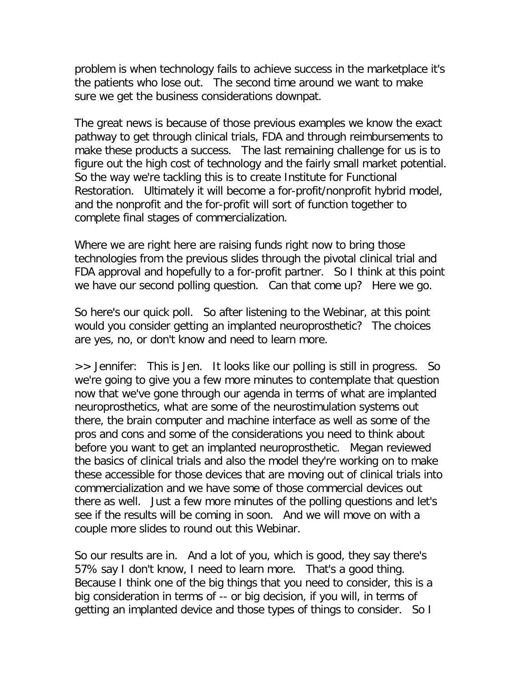problem is when technology fails to achieve success in the marketplace it's the patients who lose out. The second time around we want to make sure we get the business considerations downpat.

The great news is because of those previous examples we know the exact pathway to get through clinical trials, FDA and through reimbursements to make these products a success. The last remaining challenge for us is to figure out the high cost of technology and the fairly small market potential. So the way we're tackling this is to create Institute for Functional Restoration. Ultimately it will become a for-profit/nonprofit hybrid model, and the nonprofit and the for-profit will sort of function together to complete final stages of commercialization.

Where we are right here are raising funds right now to bring those technologies from the previous slides through the pivotal clinical trial and FDA approval and hopefully to a for-profit partner. So I think at this point we have our second polling question. Can that come up? Here we go.

So here's our quick poll. So after listening to the Webinar, at this point would you consider getting an implanted neuroprosthetic? The choices are yes, no, or don't know and need to learn more.

>> Jennifer: This is Jen. It looks like our polling is still in progress. So we're going to give you a few more minutes to contemplate that question now that we've gone through our agenda in terms of what are implanted neuroprosthetics, what are some of the neurostimulation systems out there, the brain computer and machine interface as well as some of the pros and cons and some of the considerations you need to think about before you want to get an implanted neuroprosthetic. Megan reviewed the basics of clinical trials and also the model they're working on to make these accessible for those devices that are moving out of clinical trials into commercialization and we have some of those commercial devices out there as well. Just a few more minutes of the polling questions and let's see if the results will be coming in soon. And we will move on with a couple more slides to round out this Webinar.

So our results are in. And a lot of you, which is good, they say there's 57% say I don't know, I need to learn more. That's a good thing. Because I think one of the big things that you need to consider, this is a big consideration in terms of -- or big decision, if you will, in terms of getting an implanted device and those types of things to consider. So I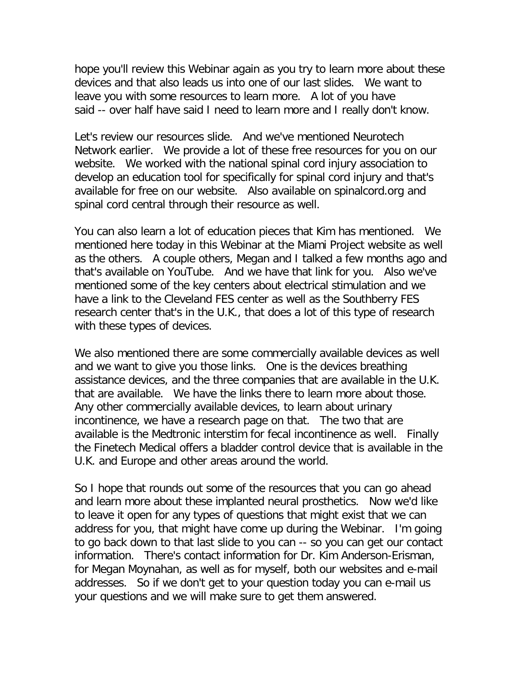hope you'll review this Webinar again as you try to learn more about these devices and that also leads us into one of our last slides. We want to leave you with some resources to learn more. A lot of you have said -- over half have said I need to learn more and I really don't know.

Let's review our resources slide. And we've mentioned Neurotech Network earlier. We provide a lot of these free resources for you on our website. We worked with the national spinal cord injury association to develop an education tool for specifically for spinal cord injury and that's available for free on our website. Also available on spinalcord.org and spinal cord central through their resource as well.

You can also learn a lot of education pieces that Kim has mentioned. We mentioned here today in this Webinar at the Miami Project website as well as the others. A couple others, Megan and I talked a few months ago and that's available on YouTube. And we have that link for you. Also we've mentioned some of the key centers about electrical stimulation and we have a link to the Cleveland FES center as well as the Southberry FES research center that's in the U.K., that does a lot of this type of research with these types of devices.

We also mentioned there are some commercially available devices as well and we want to give you those links. One is the devices breathing assistance devices, and the three companies that are available in the U.K. that are available. We have the links there to learn more about those. Any other commercially available devices, to learn about urinary incontinence, we have a research page on that. The two that are available is the Medtronic interstim for fecal incontinence as well. Finally the Finetech Medical offers a bladder control device that is available in the U.K. and Europe and other areas around the world.

So I hope that rounds out some of the resources that you can go ahead and learn more about these implanted neural prosthetics. Now we'd like to leave it open for any types of questions that might exist that we can address for you, that might have come up during the Webinar. I'm going to go back down to that last slide to you can -- so you can get our contact information. There's contact information for Dr. Kim Anderson-Erisman, for Megan Moynahan, as well as for myself, both our websites and e-mail addresses. So if we don't get to your question today you can e-mail us your questions and we will make sure to get them answered.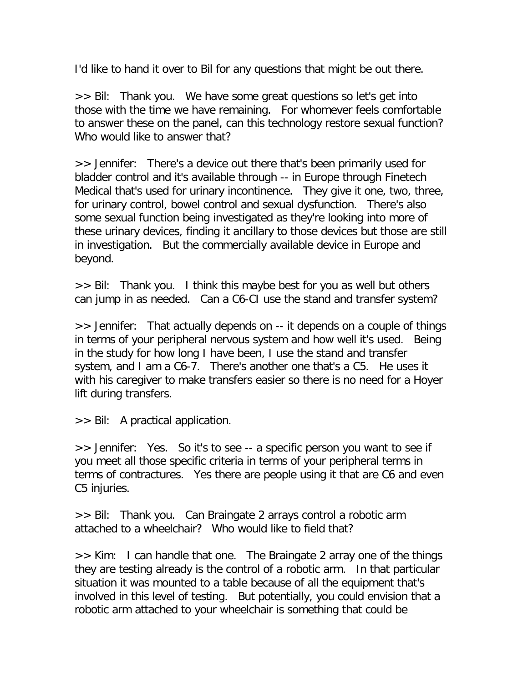I'd like to hand it over to Bil for any questions that might be out there.

>> Bil: Thank you. We have some great questions so let's get into those with the time we have remaining. For whomever feels comfortable to answer these on the panel, can this technology restore sexual function? Who would like to answer that?

>> Jennifer: There's a device out there that's been primarily used for bladder control and it's available through -- in Europe through Finetech Medical that's used for urinary incontinence. They give it one, two, three, for urinary control, bowel control and sexual dysfunction. There's also some sexual function being investigated as they're looking into more of these urinary devices, finding it ancillary to those devices but those are still in investigation. But the commercially available device in Europe and beyond.

>> Bil: Thank you. I think this maybe best for you as well but others can jump in as needed. Can a C6-CI use the stand and transfer system?

>> Jennifer: That actually depends on -- it depends on a couple of things in terms of your peripheral nervous system and how well it's used. Being in the study for how long I have been, I use the stand and transfer system, and I am a C6-7. There's another one that's a C5. He uses it with his caregiver to make transfers easier so there is no need for a Hoyer lift during transfers.

>> Bil: A practical application.

>> Jennifer: Yes. So it's to see -- a specific person you want to see if you meet all those specific criteria in terms of your peripheral terms in terms of contractures. Yes there are people using it that are C6 and even C5 injuries.

>> Bil: Thank you. Can Braingate 2 arrays control a robotic arm attached to a wheelchair? Who would like to field that?

>> Kim: I can handle that one. The Braingate 2 array one of the things they are testing already is the control of a robotic arm. In that particular situation it was mounted to a table because of all the equipment that's involved in this level of testing. But potentially, you could envision that a robotic arm attached to your wheelchair is something that could be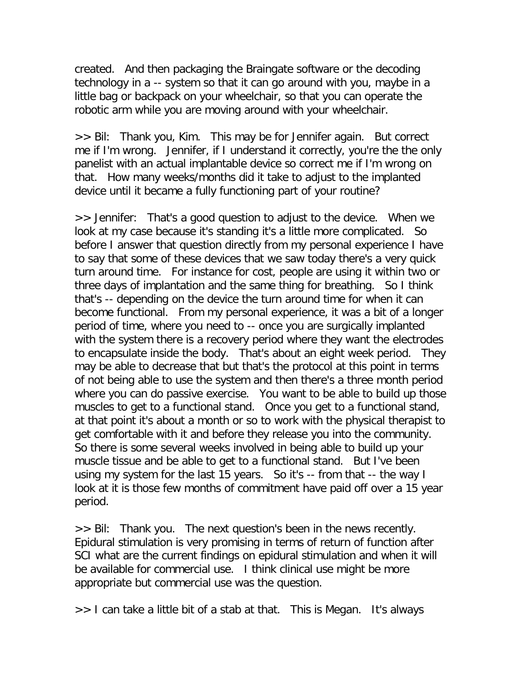created. And then packaging the Braingate software or the decoding technology in a -- system so that it can go around with you, maybe in a little bag or backpack on your wheelchair, so that you can operate the robotic arm while you are moving around with your wheelchair.

>> Bil: Thank you, Kim. This may be for Jennifer again. But correct me if I'm wrong. Jennifer, if I understand it correctly, you're the the only panelist with an actual implantable device so correct me if I'm wrong on that. How many weeks/months did it take to adjust to the implanted device until it became a fully functioning part of your routine?

>> Jennifer: That's a good question to adjust to the device. When we look at my case because it's standing it's a little more complicated. So before I answer that question directly from my personal experience I have to say that some of these devices that we saw today there's a very quick turn around time. For instance for cost, people are using it within two or three days of implantation and the same thing for breathing. So I think that's -- depending on the device the turn around time for when it can become functional. From my personal experience, it was a bit of a longer period of time, where you need to -- once you are surgically implanted with the system there is a recovery period where they want the electrodes to encapsulate inside the body. That's about an eight week period. They may be able to decrease that but that's the protocol at this point in terms of not being able to use the system and then there's a three month period where you can do passive exercise. You want to be able to build up those muscles to get to a functional stand. Once you get to a functional stand, at that point it's about a month or so to work with the physical therapist to get comfortable with it and before they release you into the community. So there is some several weeks involved in being able to build up your muscle tissue and be able to get to a functional stand. But I've been using my system for the last 15 years. So it's -- from that -- the way I look at it is those few months of commitment have paid off over a 15 year period.

>> Bil: Thank you. The next question's been in the news recently. Epidural stimulation is very promising in terms of return of function after SCI what are the current findings on epidural stimulation and when it will be available for commercial use. I think clinical use might be more appropriate but commercial use was the question.

>> I can take a little bit of a stab at that. This is Megan. It's always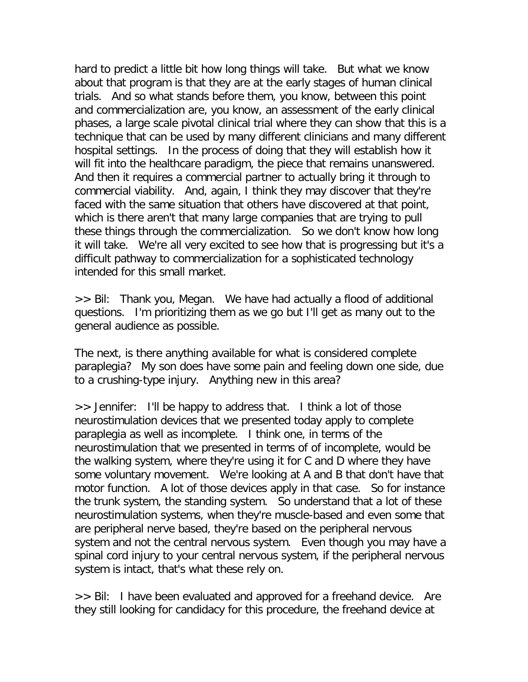hard to predict a little bit how long things will take. But what we know about that program is that they are at the early stages of human clinical trials. And so what stands before them, you know, between this point and commercialization are, you know, an assessment of the early clinical phases, a large scale pivotal clinical trial where they can show that this is a technique that can be used by many different clinicians and many different hospital settings. In the process of doing that they will establish how it will fit into the healthcare paradigm, the piece that remains unanswered. And then it requires a commercial partner to actually bring it through to commercial viability. And, again, I think they may discover that they're faced with the same situation that others have discovered at that point, which is there aren't that many large companies that are trying to pull these things through the commercialization. So we don't know how long it will take. We're all very excited to see how that is progressing but it's a difficult pathway to commercialization for a sophisticated technology intended for this small market.

>> Bil: Thank you, Megan. We have had actually a flood of additional questions. I'm prioritizing them as we go but I'll get as many out to the general audience as possible.

The next, is there anything available for what is considered complete paraplegia? My son does have some pain and feeling down one side, due to a crushing-type injury. Anything new in this area?

>> Jennifer: I'll be happy to address that. I think a lot of those neurostimulation devices that we presented today apply to complete paraplegia as well as incomplete. I think one, in terms of the neurostimulation that we presented in terms of of incomplete, would be the walking system, where they're using it for C and D where they have some voluntary movement. We're looking at A and B that don't have that motor function. A lot of those devices apply in that case. So for instance the trunk system, the standing system. So understand that a lot of these neurostimulation systems, when they're muscle-based and even some that are peripheral nerve based, they're based on the peripheral nervous system and not the central nervous system. Even though you may have a spinal cord injury to your central nervous system, if the peripheral nervous system is intact, that's what these rely on.

>> Bil: I have been evaluated and approved for a freehand device. Are they still looking for candidacy for this procedure, the freehand device at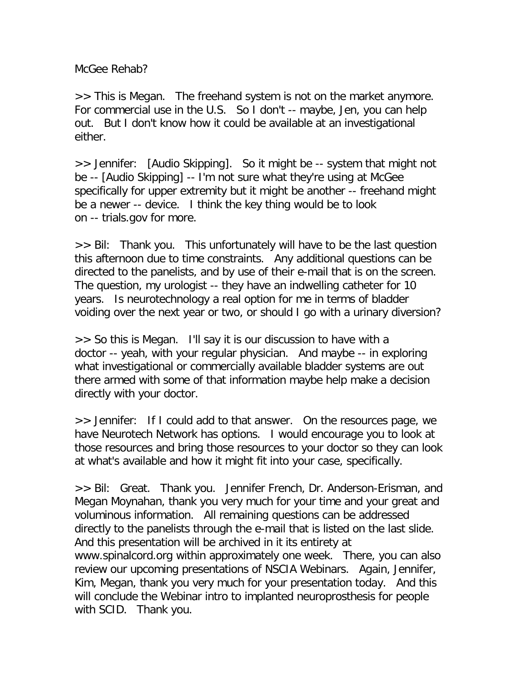McGee Rehab?

>> This is Megan. The freehand system is not on the market anymore. For commercial use in the U.S. So I don't -- maybe, Jen, you can help out. But I don't know how it could be available at an investigational either.

>> Jennifer: [Audio Skipping]. So it might be -- system that might not be -- [Audio Skipping] -- I'm not sure what they're using at McGee specifically for upper extremity but it might be another -- freehand might be a newer -- device. I think the key thing would be to look on -- trials.gov for more.

>> Bil: Thank you. This unfortunately will have to be the last question this afternoon due to time constraints. Any additional questions can be directed to the panelists, and by use of their e-mail that is on the screen. The question, my urologist -- they have an indwelling catheter for 10 years. Is neurotechnology a real option for me in terms of bladder voiding over the next year or two, or should I go with a urinary diversion?

>> So this is Megan. I'll say it is our discussion to have with a doctor -- yeah, with your regular physician. And maybe -- in exploring what investigational or commercially available bladder systems are out there armed with some of that information maybe help make a decision directly with your doctor.

>> Jennifer: If I could add to that answer. On the resources page, we have Neurotech Network has options. I would encourage you to look at those resources and bring those resources to your doctor so they can look at what's available and how it might fit into your case, specifically.

>> Bil: Great. Thank you. Jennifer French, Dr. Anderson-Erisman, and Megan Moynahan, thank you very much for your time and your great and voluminous information. All remaining questions can be addressed directly to the panelists through the e-mail that is listed on the last slide. And this presentation will be archived in it its entirety at www.spinalcord.org within approximately one week. There, you can also review our upcoming presentations of NSCIA Webinars. Again, Jennifer, Kim, Megan, thank you very much for your presentation today. And this will conclude the Webinar intro to implanted neuroprosthesis for people with SCID. Thank you.